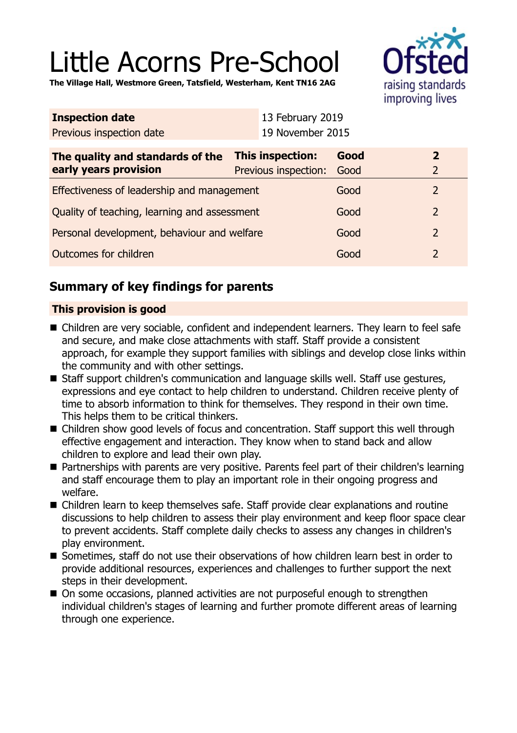# Little Acorns Pre-School

**The Village Hall, Westmore Green, Tatsfield, Westerham, Kent TN16 2AG**



| <b>Inspection date</b>           | 13 February 2019          |      |                         |
|----------------------------------|---------------------------|------|-------------------------|
| Previous inspection date         | 19 November 2015          |      |                         |
| The quality and standards of the | This inspection:          | Good | $\overline{\mathbf{2}}$ |
| early years provision            | Previous inspection: Good |      | $\mathcal{L}$           |
|                                  |                           |      |                         |

| Effectiveness of leadership and management   | Good | $\mathcal{D}$ |
|----------------------------------------------|------|---------------|
| Quality of teaching, learning and assessment | Good | 2             |
| Personal development, behaviour and welfare  | Good | $\mathcal{P}$ |
| Outcomes for children                        | Good |               |

## **Summary of key findings for parents**

## **This provision is good**

- Children are very sociable, confident and independent learners. They learn to feel safe and secure, and make close attachments with staff. Staff provide a consistent approach, for example they support families with siblings and develop close links within the community and with other settings.
- Staff support children's communication and language skills well. Staff use gestures, expressions and eye contact to help children to understand. Children receive plenty of time to absorb information to think for themselves. They respond in their own time. This helps them to be critical thinkers.
- Children show good levels of focus and concentration. Staff support this well through effective engagement and interaction. They know when to stand back and allow children to explore and lead their own play.
- Partnerships with parents are very positive. Parents feel part of their children's learning and staff encourage them to play an important role in their ongoing progress and welfare.
- Children learn to keep themselves safe. Staff provide clear explanations and routine discussions to help children to assess their play environment and keep floor space clear to prevent accidents. Staff complete daily checks to assess any changes in children's play environment.
- Sometimes, staff do not use their observations of how children learn best in order to provide additional resources, experiences and challenges to further support the next steps in their development.
- On some occasions, planned activities are not purposeful enough to strengthen individual children's stages of learning and further promote different areas of learning through one experience.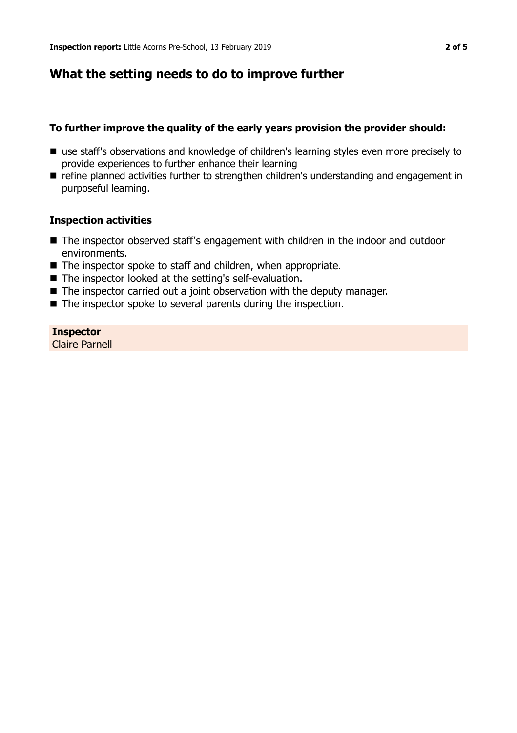## **What the setting needs to do to improve further**

## **To further improve the quality of the early years provision the provider should:**

- use staff's observations and knowledge of children's learning styles even more precisely to provide experiences to further enhance their learning
- **n** refine planned activities further to strengthen children's understanding and engagement in purposeful learning.

## **Inspection activities**

- The inspector observed staff's engagement with children in the indoor and outdoor environments.
- $\blacksquare$  The inspector spoke to staff and children, when appropriate.
- The inspector looked at the setting's self-evaluation.
- $\blacksquare$  The inspector carried out a joint observation with the deputy manager.
- $\blacksquare$  The inspector spoke to several parents during the inspection.

## **Inspector**

Claire Parnell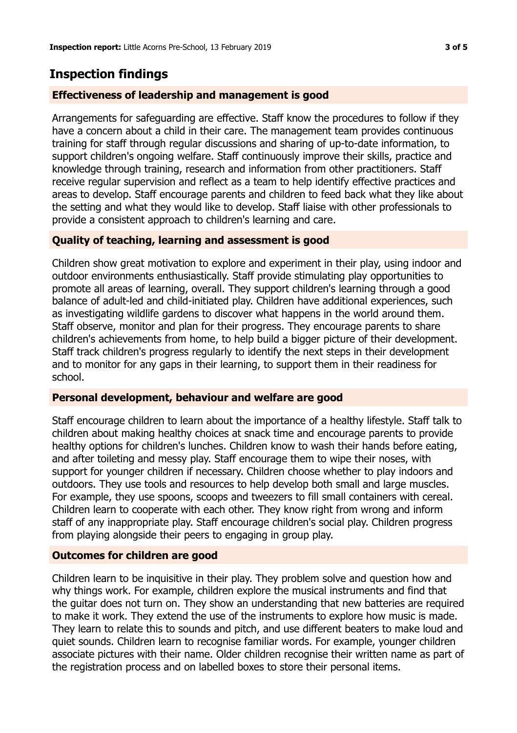## **Inspection findings**

#### **Effectiveness of leadership and management is good**

Arrangements for safeguarding are effective. Staff know the procedures to follow if they have a concern about a child in their care. The management team provides continuous training for staff through regular discussions and sharing of up-to-date information, to support children's ongoing welfare. Staff continuously improve their skills, practice and knowledge through training, research and information from other practitioners. Staff receive regular supervision and reflect as a team to help identify effective practices and areas to develop. Staff encourage parents and children to feed back what they like about the setting and what they would like to develop. Staff liaise with other professionals to provide a consistent approach to children's learning and care.

## **Quality of teaching, learning and assessment is good**

Children show great motivation to explore and experiment in their play, using indoor and outdoor environments enthusiastically. Staff provide stimulating play opportunities to promote all areas of learning, overall. They support children's learning through a good balance of adult-led and child-initiated play. Children have additional experiences, such as investigating wildlife gardens to discover what happens in the world around them. Staff observe, monitor and plan for their progress. They encourage parents to share children's achievements from home, to help build a bigger picture of their development. Staff track children's progress regularly to identify the next steps in their development and to monitor for any gaps in their learning, to support them in their readiness for school.

### **Personal development, behaviour and welfare are good**

Staff encourage children to learn about the importance of a healthy lifestyle. Staff talk to children about making healthy choices at snack time and encourage parents to provide healthy options for children's lunches. Children know to wash their hands before eating, and after toileting and messy play. Staff encourage them to wipe their noses, with support for younger children if necessary. Children choose whether to play indoors and outdoors. They use tools and resources to help develop both small and large muscles. For example, they use spoons, scoops and tweezers to fill small containers with cereal. Children learn to cooperate with each other. They know right from wrong and inform staff of any inappropriate play. Staff encourage children's social play. Children progress from playing alongside their peers to engaging in group play.

#### **Outcomes for children are good**

Children learn to be inquisitive in their play. They problem solve and question how and why things work. For example, children explore the musical instruments and find that the guitar does not turn on. They show an understanding that new batteries are required to make it work. They extend the use of the instruments to explore how music is made. They learn to relate this to sounds and pitch, and use different beaters to make loud and quiet sounds. Children learn to recognise familiar words. For example, younger children associate pictures with their name. Older children recognise their written name as part of the registration process and on labelled boxes to store their personal items.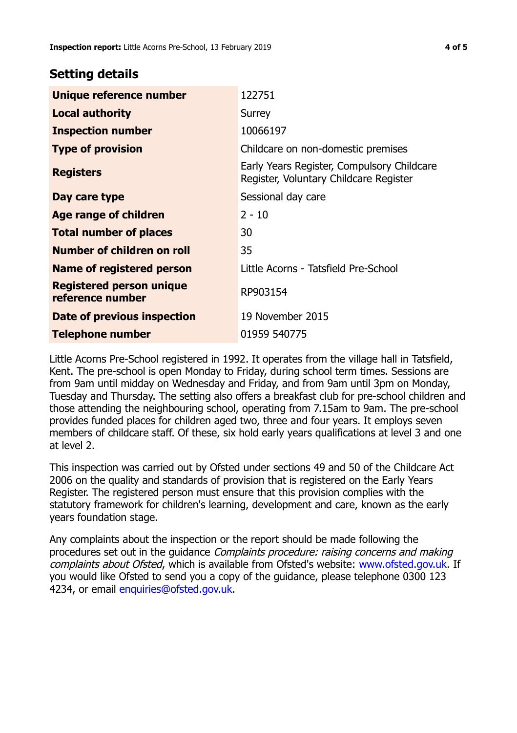## **Setting details**

| Unique reference number                             | 122751                                                                               |
|-----------------------------------------------------|--------------------------------------------------------------------------------------|
| <b>Local authority</b>                              | Surrey                                                                               |
| <b>Inspection number</b>                            | 10066197                                                                             |
| <b>Type of provision</b>                            | Childcare on non-domestic premises                                                   |
| <b>Registers</b>                                    | Early Years Register, Compulsory Childcare<br>Register, Voluntary Childcare Register |
| Day care type                                       | Sessional day care                                                                   |
| Age range of children                               | $2 - 10$                                                                             |
| <b>Total number of places</b>                       | 30                                                                                   |
| Number of children on roll                          | 35                                                                                   |
| Name of registered person                           | Little Acorns - Tatsfield Pre-School                                                 |
| <b>Registered person unique</b><br>reference number | RP903154                                                                             |
| Date of previous inspection                         | 19 November 2015                                                                     |
| <b>Telephone number</b>                             | 01959 540775                                                                         |

Little Acorns Pre-School registered in 1992. It operates from the village hall in Tatsfield, Kent. The pre-school is open Monday to Friday, during school term times. Sessions are from 9am until midday on Wednesday and Friday, and from 9am until 3pm on Monday, Tuesday and Thursday. The setting also offers a breakfast club for pre-school children and those attending the neighbouring school, operating from 7.15am to 9am. The pre-school provides funded places for children aged two, three and four years. It employs seven members of childcare staff. Of these, six hold early years qualifications at level 3 and one at level 2.

This inspection was carried out by Ofsted under sections 49 and 50 of the Childcare Act 2006 on the quality and standards of provision that is registered on the Early Years Register. The registered person must ensure that this provision complies with the statutory framework for children's learning, development and care, known as the early years foundation stage.

Any complaints about the inspection or the report should be made following the procedures set out in the guidance Complaints procedure: raising concerns and making complaints about Ofsted, which is available from Ofsted's website: www.ofsted.gov.uk. If you would like Ofsted to send you a copy of the guidance, please telephone 0300 123 4234, or email [enquiries@ofsted.gov.uk.](mailto:enquiries@ofsted.gov.uk)